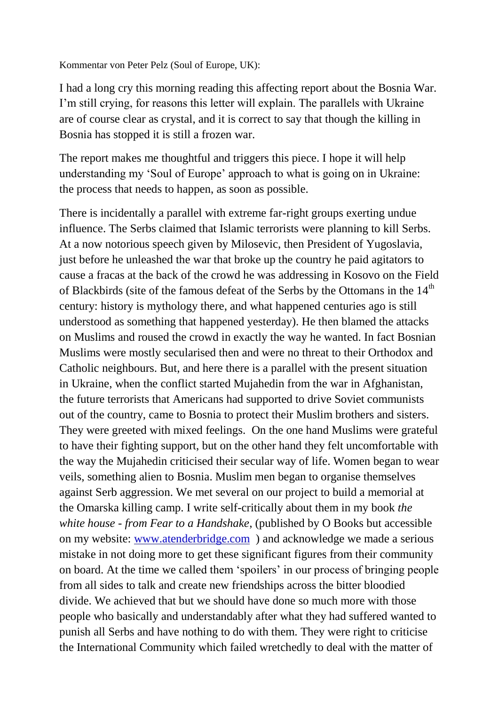Kommentar von Peter Pelz (Soul of Europe, UK):

I had a long cry this morning reading this affecting report about the Bosnia War. I'm still crying, for reasons this letter will explain. The parallels with Ukraine are of course clear as crystal, and it is correct to say that though the killing in Bosnia has stopped it is still a frozen war.

The report makes me thoughtful and triggers this piece. I hope it will help understanding my 'Soul of Europe' approach to what is going on in Ukraine: the process that needs to happen, as soon as possible.

There is incidentally a parallel with extreme far-right groups exerting undue influence. The Serbs claimed that Islamic terrorists were planning to kill Serbs. At a now notorious speech given by Milosevic, then President of Yugoslavia, just before he unleashed the war that broke up the country he paid agitators to cause a fracas at the back of the crowd he was addressing in Kosovo on the Field of Blackbirds (site of the famous defeat of the Serbs by the Ottomans in the  $14<sup>th</sup>$ century: history is mythology there, and what happened centuries ago is still understood as something that happened yesterday). He then blamed the attacks on Muslims and roused the crowd in exactly the way he wanted. In fact Bosnian Muslims were mostly secularised then and were no threat to their Orthodox and Catholic neighbours. But, and here there is a parallel with the present situation in Ukraine, when the conflict started Mujahedin from the war in Afghanistan, the future terrorists that Americans had supported to drive Soviet communists out of the country, came to Bosnia to protect their Muslim brothers and sisters. They were greeted with mixed feelings. On the one hand Muslims were grateful to have their fighting support, but on the other hand they felt uncomfortable with the way the Mujahedin criticised their secular way of life. Women began to wear veils, something alien to Bosnia. Muslim men began to organise themselves against Serb aggression. We met several on our project to build a memorial at the Omarska killing camp. I write self-critically about them in my book *the white house - from Fear to a Handshake*, (published by O Books but accessible on my website: [www.atenderbridge.com](https://deref-1und1.de/mail/client/nnjb7iRtpqQ/dereferrer/?redirectUrl=http%3A%2F%2Fwww.atenderbridge.com) ) and acknowledge we made a serious mistake in not doing more to get these significant figures from their community on board. At the time we called them 'spoilers' in our process of bringing people from all sides to talk and create new friendships across the bitter bloodied divide. We achieved that but we should have done so much more with those people who basically and understandably after what they had suffered wanted to punish all Serbs and have nothing to do with them. They were right to criticise the International Community which failed wretchedly to deal with the matter of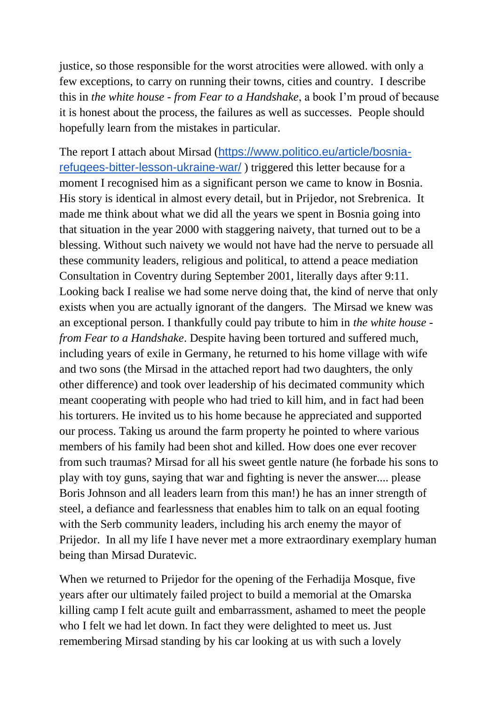justice, so those responsible for the worst atrocities were allowed. with only a few exceptions, to carry on running their towns, cities and country. I describe this in *the white house - from Fear to a Handshake*, a book I'm proud of because it is honest about the process, the failures as well as successes. People should hopefully learn from the mistakes in particular.

The report I attach about Mirsad ([https://www.politico.eu/article/bosnia](https://deref-1und1.de/mail/client/Vg1lLB4pZnQ/dereferrer/?redirectUrl=https%3A%2F%2Fwww.politico.eu%2Farticle%2Fbosnia-refugees-bitter-lesson-ukraine-war%2F)[refugees-bitter-lesson-ukraine-war/](https://deref-1und1.de/mail/client/Vg1lLB4pZnQ/dereferrer/?redirectUrl=https%3A%2F%2Fwww.politico.eu%2Farticle%2Fbosnia-refugees-bitter-lesson-ukraine-war%2F) ) triggered this letter because for a moment I recognised him as a significant person we came to know in Bosnia. His story is identical in almost every detail, but in Prijedor, not Srebrenica. It made me think about what we did all the years we spent in Bosnia going into that situation in the year 2000 with staggering naivety, that turned out to be a blessing. Without such naivety we would not have had the nerve to persuade all these community leaders, religious and political, to attend a peace mediation Consultation in Coventry during September 2001, literally days after 9:11. Looking back I realise we had some nerve doing that, the kind of nerve that only exists when you are actually ignorant of the dangers. The Mirsad we knew was an exceptional person. I thankfully could pay tribute to him in *the white house from Fear to a Handshake*. Despite having been tortured and suffered much, including years of exile in Germany, he returned to his home village with wife and two sons (the Mirsad in the attached report had two daughters, the only other difference) and took over leadership of his decimated community which meant cooperating with people who had tried to kill him, and in fact had been his torturers. He invited us to his home because he appreciated and supported our process. Taking us around the farm property he pointed to where various members of his family had been shot and killed. How does one ever recover from such traumas? Mirsad for all his sweet gentle nature (he forbade his sons to play with toy guns, saying that war and fighting is never the answer.... please Boris Johnson and all leaders learn from this man!) he has an inner strength of steel, a defiance and fearlessness that enables him to talk on an equal footing with the Serb community leaders, including his arch enemy the mayor of Prijedor. In all my life I have never met a more extraordinary exemplary human being than Mirsad Duratevic.

When we returned to Prijedor for the opening of the Ferhadija Mosque, five years after our ultimately failed project to build a memorial at the Omarska killing camp I felt acute guilt and embarrassment, ashamed to meet the people who I felt we had let down. In fact they were delighted to meet us. Just remembering Mirsad standing by his car looking at us with such a lovely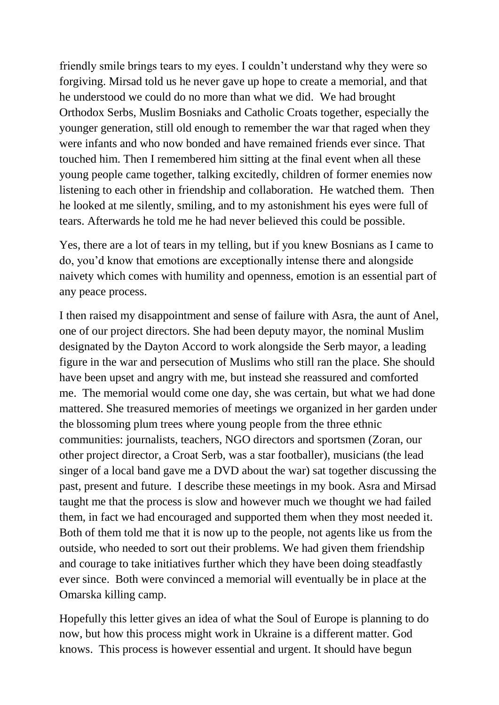friendly smile brings tears to my eyes. I couldn't understand why they were so forgiving. Mirsad told us he never gave up hope to create a memorial, and that he understood we could do no more than what we did. We had brought Orthodox Serbs, Muslim Bosniaks and Catholic Croats together, especially the younger generation, still old enough to remember the war that raged when they were infants and who now bonded and have remained friends ever since. That touched him. Then I remembered him sitting at the final event when all these young people came together, talking excitedly, children of former enemies now listening to each other in friendship and collaboration. He watched them. Then he looked at me silently, smiling, and to my astonishment his eyes were full of tears. Afterwards he told me he had never believed this could be possible.

Yes, there are a lot of tears in my telling, but if you knew Bosnians as I came to do, you'd know that emotions are exceptionally intense there and alongside naivety which comes with humility and openness, emotion is an essential part of any peace process.

I then raised my disappointment and sense of failure with Asra, the aunt of Anel, one of our project directors. She had been deputy mayor, the nominal Muslim designated by the Dayton Accord to work alongside the Serb mayor, a leading figure in the war and persecution of Muslims who still ran the place. She should have been upset and angry with me, but instead she reassured and comforted me. The memorial would come one day, she was certain, but what we had done mattered. She treasured memories of meetings we organized in her garden under the blossoming plum trees where young people from the three ethnic communities: journalists, teachers, NGO directors and sportsmen (Zoran, our other project director, a Croat Serb, was a star footballer), musicians (the lead singer of a local band gave me a DVD about the war) sat together discussing the past, present and future. I describe these meetings in my book. Asra and Mirsad taught me that the process is slow and however much we thought we had failed them, in fact we had encouraged and supported them when they most needed it. Both of them told me that it is now up to the people, not agents like us from the outside, who needed to sort out their problems. We had given them friendship and courage to take initiatives further which they have been doing steadfastly ever since. Both were convinced a memorial will eventually be in place at the Omarska killing camp.

Hopefully this letter gives an idea of what the Soul of Europe is planning to do now, but how this process might work in Ukraine is a different matter. God knows. This process is however essential and urgent. It should have begun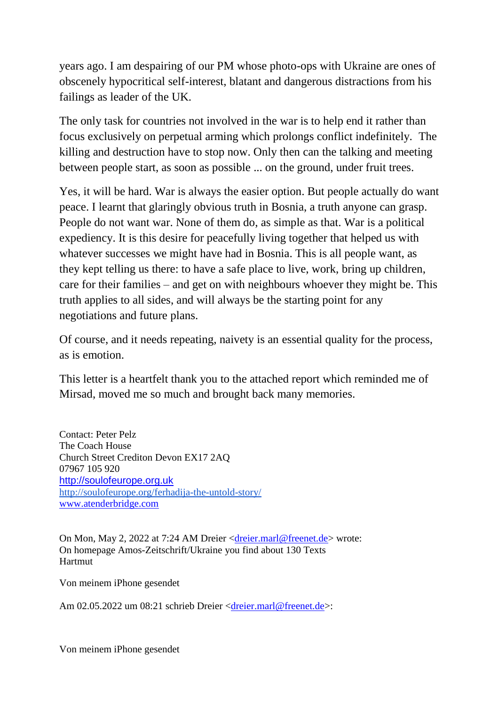years ago. I am despairing of our PM whose photo-ops with Ukraine are ones of obscenely hypocritical self-interest, blatant and dangerous distractions from his failings as leader of the UK.

The only task for countries not involved in the war is to help end it rather than focus exclusively on perpetual arming which prolongs conflict indefinitely. The killing and destruction have to stop now. Only then can the talking and meeting between people start, as soon as possible ... on the ground, under fruit trees.

Yes, it will be hard. War is always the easier option. But people actually do want peace. I learnt that glaringly obvious truth in Bosnia, a truth anyone can grasp. People do not want war. None of them do, as simple as that. War is a political expediency. It is this desire for peacefully living together that helped us with whatever successes we might have had in Bosnia. This is all people want, as they kept telling us there: to have a safe place to live, work, bring up children, care for their families – and get on with neighbours whoever they might be. This truth applies to all sides, and will always be the starting point for any negotiations and future plans.

Of course, and it needs repeating, naivety is an essential quality for the process, as is emotion.

This letter is a heartfelt thank you to the attached report which reminded me of Mirsad, moved me so much and brought back many memories.

Contact: Peter Pelz The Coach House Church Street Crediton Devon EX17 2AQ 07967 105 920 [http://soulofeurope.org.uk](https://deref-1und1.de/mail/client/EtQ0SpIkRIQ/dereferrer/?redirectUrl=http%3A%2F%2Fsoulofeurope.org.uk%2F) [http://soulofeurope.org/ferhadija-the-untold-story/](https://deref-1und1.de/mail/client/BdbhFp_v6u4/dereferrer/?redirectUrl=http%3A%2F%2Fsoulofeurope.org%2Fferhadija-the-untold-story%2F) [www.atenderbridge.com](https://deref-1und1.de/mail/client/nnjb7iRtpqQ/dereferrer/?redirectUrl=http%3A%2F%2Fwww.atenderbridge.com)

On Mon, May 2, 2022 at 7:24 AM Dreier [<dreier.marl@freenet.de>](mailto:dreier.marl@freenet.de) wrote: On homepage Amos-Zeitschrift/Ukraine you find about 130 Texts Hartmut

Von meinem iPhone gesendet

Am 02.05.2022 um 08:21 schrieb Dreier [<dreier.marl@freenet.de>](mailto:dreier.marl@freenet.de):